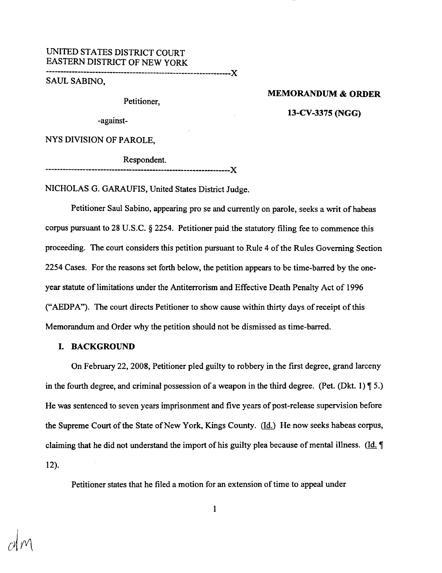# UNITED STATES DISTRICT COURT EASTERN DISTRICT OF NEW YORK

----------------------------------------------------------------){

SAUL SABINO,

Petitioner,

#### MEMORANDUM & ORDER

13-CV-3375 (NGG)

-against-

NYS DIVISION OF PAROLE,

Respondent.

NICHOLAS G. GARAUFIS, United States District Judge.

----------------------------------------------------------------){

Petitioner Saul Sabino, appearing pro se and currently on parole, seeks a writ of habeas corpus pursuant to 28 U.S.C. § 2254. Petitioner paid the statutory filing fee to commence this proceeding. The court considers this petition pursuant to Rule 4 of the Rules Governing Section 2254 Cases. For the reasons set forth below, the petition appears to be time-barred by the oneyear statute of limitations under the Antiterrorism and Effective Death Penalty Act of 1996 ("AEDPA"). The court directs Petitioner to show cause within thirty days of receipt of this Memorandum and Order why the petition should not be dismissed as time-barred.

#### I. BACKGROUND

On February 22, 2008, Petitioner pled guilty to robbery in the first degree, grand larceny in the fourth degree, and criminal possession of a weapon in the third degree. (Pet. (Dkt. 1)  $\P$  5.) He was sentenced to seven years imprisonment and five years of post-release supervision before the Supreme Court of the State of New York, Kings County.  $(\underline{Id})$  He now seeks habeas corpus, claiming that he did not understand the import of his guilty plea because of mental illness. (Id.  $\parallel$ 12).

Petitioner states that he filed a motion for an extension of time to appeal under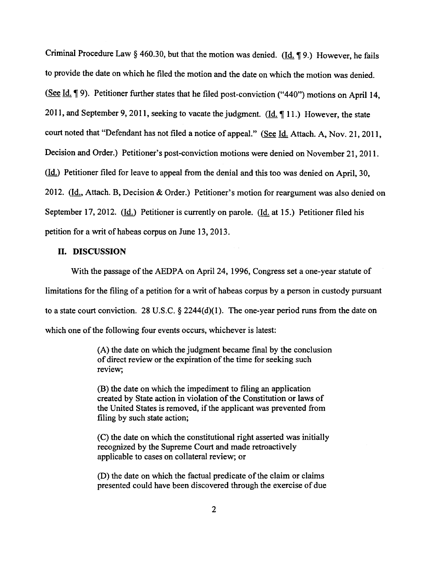Criminal Procedure Law § 460.30, but that the motion was denied. (Id. ¶ 9.) However, he fails to provide the date on which he filed the motion and the date on which the motion was denied. (See Id.  $\P$  9). Petitioner further states that he filed post-conviction ("440") motions on April 14, 2011, and September 9, 2011, seeking to vacate the judgment. ( $\underline{Id}$ ,  $\P$  11.) However, the state court noted that "Defendant has not filed a notice of appeal." (See Id. Attach. A, Nov. 21, 2011, Decision and Order.) Petitioner's post-conviction motions were denied on November 21, 2011. (Id.) Petitioner filed for leave to appeal from the denial and this too was denied on April, 30, 2012. (Id., Attach. B, Decision & Order.) Petitioner's motion for reargument was also denied on September 17, 2012. (Id.) Petitioner is currently on parole. (Id. at 15.) Petitioner filed his petition for a writ of habeas corpus on June 13, 2013.

## II. DISCUSSION

With the passage of the AEDPA on April 24, 1996, Congress set a one-year statute of limitations for the filing of a petition for a writ of habeas corpus by a person in custody pursuant to a state court conviction. 28 U.S.C.  $\S$  2244(d)(1). The one-year period runs from the date on which one of the following four events occurs, whichever is latest:

> (A) the date on which the judgment became final by the conclusion of direct review or the expiration of the time for seeking such review;

(B) the date on which the impediment to filing an application created by State action in violation of the Constitution or laws of the United States is removed, if the applicant was prevented from filing by such state action;

(C) the date on which the constitutional right asserted was initially recognized by the Supreme Court and made retroactively applicable to cases on collateral review; or

(D) the date on which the factual predicate of the claim or claims presented could have been discovered through the exercise of due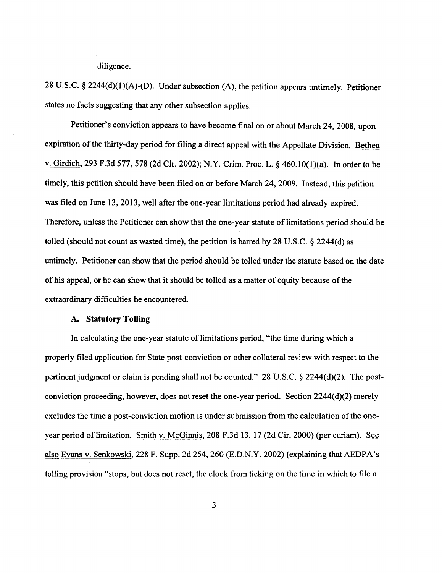diligence.

28 U.S.C. § 2244(d)(l)(A)-(D). Under subsection (A), the petition appears untimely. Petitioner states no facts suggesting that any other subsection applies.

Petitioner's conviction appears to have become final on or about March 24, 2008, upon expiration of the thirty-day period for filing a direct appeal with the Appellate Division. Bethea v. Girdich, 293 F.3d 577, 578 (2d Cir. 2002); N.Y. Crim. Proc. L. § 460.IO(l)(a). In order to be timely, this petition should have been filed on or before March 24, 2009. Instead, this petition was filed on June 13, 2013, well after the one-year limitations period had already expired. Therefore, unless the Petitioner can show that the one-year statute of limitations period should be tolled (should not count as wasted time), the petition is barred by 28 U.S.C.  $\S$  2244(d) as untimely. Petitioner can show that the period should be tolled under the statute based on the date of his appeal, or he can show that it should be tolled as a matter of equity because of the extraordinary difficulties he encountered.

#### **A. Statutory Tolling**

In calculating the one-year statute of limitations period, "the time during which a properly filed application for State post-conviction or other collateral review with respect to the pertinent judgment or claim is pending shall not be counted." 28 U.S.C. § 2244(d)(2). The postconviction proceeding, however, does not reset the one-year period. Section 2244(d)(2) merely excludes the time a post-conviction motion is under submission from the calculation of the oneyear period of limitation. Smith v. McGinnis, 208 F.3d 13, 17 (2d Cir. 2000) (per curiam). See also Evans v. Senkowski, 228 F. Supp. 2d 254, 260 (E.D.N.Y. 2002) (explaining that AEDPA's tolling provision "stops, but does not reset, the clock from ticking on the time in which to file a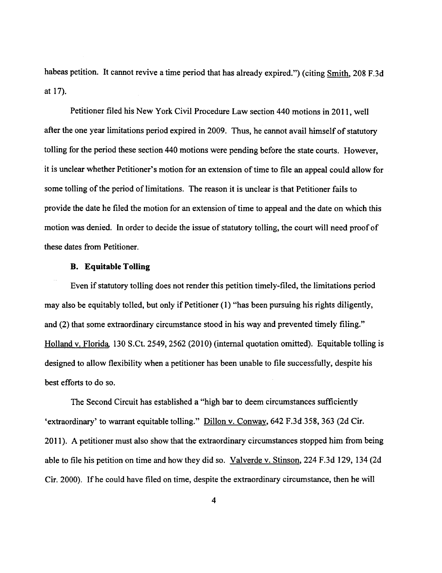habeas petition. It cannot revive a time period that has already expired.") (citing Smith, 208 F.3d at 17).

Petitioner filed his New York Civil Procedure Law section 440 motions in 2011, well after the one year limitations period expired in 2009. Thus, he cannot avail himself of statutory tolling for the period these section 440 motions were pending before the state courts. However, it is unclear whether Petitioner's motion for an extension of time to file an appeal could allow for some tolling of the period of limitations. The reason it is unclear is that Petitioner fails to provide the date he filed the motion for an extension of time to appeal and the date on which this motion was denied. In order to decide the issue of statutory tolling, the court will need proof of these dates from Petitioner.

## **B. Equitable Tolling**

Even if statutory tolling does not render this petition timely-filed, the limitations period may also be equitably tolled, but only if Petitioner (1) "has been pursuing his rights diligently, and (2) that some extraordinary circumstance stood in his way and prevented timely filing." Holland v. Florida, 130 S.Ct. 2549, 2562 (2010) (internal quotation omitted). Equitable tolling is designed to allow flexibility when a petitioner has been unable to file successfully, despite his best efforts to do so.

The Second Circuit has established a "high bar to deem circumstances sufficiently 'extraordinary' to warrant equitable tolling." Dillon v. Conway, 642 F.3d 358, 363 (2d Cir. 2011 ). A petitioner must also show that the extraordinary circumstances stopped him from being able to file his petition on time and how they did so. Valverde v. Stinson, 224 F.3d 129, 134 (2d Cir. 2000). Ifhe could have filed on time, despite the extraordinary circumstance, then he will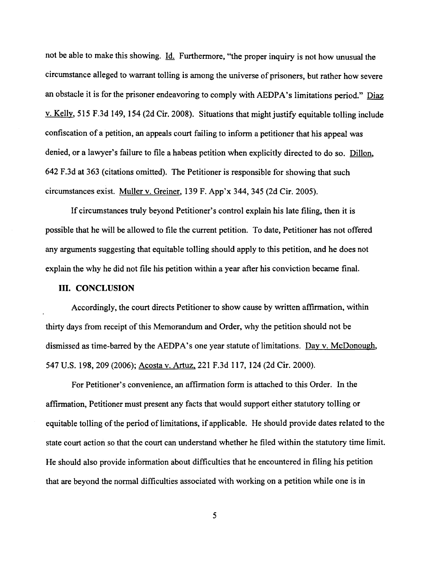not be able to make this showing. Id. Furthermore, "the proper inquiry is not how unusual the circumstance alleged to warrant tolling is among the universe of prisoners, but rather how severe an obstacle it is for the prisoner endeavoring to comply with AEDPA's limitations period." Diaz v. Kelly, 515 F.3d 149, 154 (2d Cir. 2008). Situations that might justify equitable tolling include confiscation of a petition, an appeals court failing to inform a petitioner that his appeal was denied, or a lawyer's failure to file a habeas petition when explicitly directed to do so. Dillon, 642 F.3d at 363 (citations omitted). The Petitioner is responsible for showing that such circumstances exist. Muller v. Greiner, 139 F. App'x 344, 345 (2d Cir. 2005).

If circumstances truly beyond Petitioner's control explain his late filing, then it is possible that he will be allowed to file the current petition. To date, Petitioner has not offered any arguments suggesting that equitable tolling should apply to this petition, and he does not explain the why he did not file his petition within a year after his conviction became final.

# III. CONCLUSION

Accordingly, the court directs Petitioner to show cause by written affirmation, within thirty days from receipt of this Memorandum and Order, why the petition should not be dismissed as time-barred by the AEDPA's one year statute of limitations. Day v. McDonough, 547 U.S. 198, 209 (2006); Acosta v. Artuz, 221 F.3d 117, 124 (2d Cir. 2000).

For Petitioner's convenience, an affirmation form is attached to this Order. In the affirmation, Petitioner must present any facts that would support either statutory tolling or equitable tolling of the period of limitations, if applicable. He should provide dates related to the state court action so that the court can understand whether he filed within the statutory time limit. He should also provide information about difficulties that he encountered in filing his petition that are beyond the normal difficulties associated with working on a petition while one is in

5